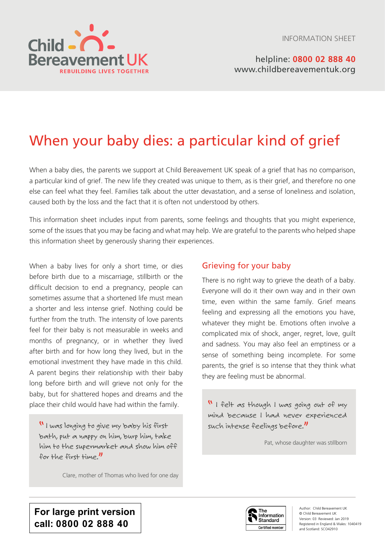INFORMATION SHEET



# When your baby dies: a particular kind of grief

When a baby dies, the parents we support at Child Bereavement UK speak of a grief that has no comparison, a particular kind of grief. The new life they created was unique to them, as is their grief, and therefore no one else can feel what they feel. Families talk about the utter devastation, and a sense of loneliness and isolation, caused both by the loss and the fact that it is often not understood by others.

This information sheet includes input from parents, some feelings and thoughts that you might experience, some of the issues that you may be facing and what may help. We are grateful to the parents who helped shape this information sheet by generously sharing their experiences.

When a baby lives for only a short time, or dies before birth due to a miscarriage, stillbirth or the difficult decision to end a pregnancy, people can sometimes assume that a shortened life must mean a shorter and less intense grief. Nothing could be further from the truth. The intensity of love parents feel for their baby is not measurable in weeks and months of pregnancy, or in whether they lived after birth and for how long they lived, but in the emotional investment they have made in this child. A parent begins their relationship with their baby long before birth and will grieve not only for the baby, but for shattered hopes and dreams and the place their child would have had within the family.

" I was longing to give my baby his first bath, put a nappy on him, burp him, take him to the supermarket and show him off for the first time."

Clare, mother of Thomas who lived for one day

# Grieving for your baby

There is no right way to grieve the death of a baby. Everyone will do it their own way and in their own time, even within the same family. Grief means feeling and expressing all the emotions you have, whatever they might be. Emotions often involve a complicated mix of shock, anger, regret, love, guilt and sadness. You may also feel an emptiness or a sense of something being incomplete. For some parents, the grief is so intense that they think what they are feeling must be abnormal.

" I felt as though I was going out of my mind because I had never experienced such intense feelings before."

Pat, whose daughter was stillborn

**For large print version call: 0800 02 888 40**

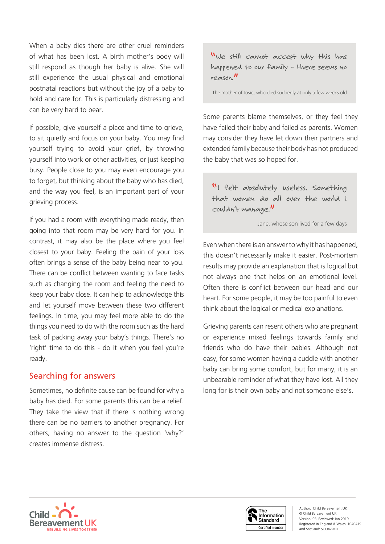When a baby dies there are other cruel reminders of what has been lost. A birth mother's body will still respond as though her baby is alive. She will still experience the usual physical and emotional postnatal reactions but without the joy of a baby to hold and care for. This is particularly distressing and can be very hard to bear.

If possible, give yourself a place and time to grieve, to sit quietly and focus on your baby. You may find yourself trying to avoid your grief, by throwing yourself into work or other activities, or just keeping busy. People close to you may even encourage you to forget, but thinking about the baby who has died, and the way you feel, is an important part of your grieving process.

If you had a room with everything made ready, then going into that room may be very hard for you. In contrast, it may also be the place where you feel closest to your baby. Feeling the pain of your loss often brings a sense of the baby being near to you. There can be conflict between wanting to face tasks such as changing the room and feeling the need to keep your baby close. It can help to acknowledge this and let yourself move between these two different feelings. In time, you may feel more able to do the things you need to do with the room such as the hard task of packing away your baby's things. There's no 'right' time to do this - do it when you feel you're ready.

## Searching for answers

Sometimes, no definite cause can be found for why a baby has died. For some parents this can be a relief. They take the view that if there is nothing wrong there can be no barriers to another pregnancy. For others, having no answer to the question 'why?' creates immense distress.

"We still cannot accept why this has happened to our family – there seems no reason."

The mother of Josie, who died suddenly at only a few weeks old

Some parents blame themselves, or they feel they have failed their baby and failed as parents. Women may consider they have let down their partners and extended family because their body has not produced the baby that was so hoped for.

"I felt absolutely useless. Something that women do all over the world I couldn't manage."

Jane, whose son lived for a few days

Even when there is an answer to why it has happened, this doesn't necessarily make it easier. Post-mortem results may provide an explanation that is logical but not always one that helps on an emotional level. Often there is conflict between our head and our heart. For some people, it may be too painful to even think about the logical or medical explanations.

Grieving parents can resent others who are pregnant or experience mixed feelings towards family and friends who do have their babies. Although not easy, for some women having a cuddle with another baby can bring some comfort, but for many, it is an unbearable reminder of what they have lost. All they long for is their own baby and not someone else's.



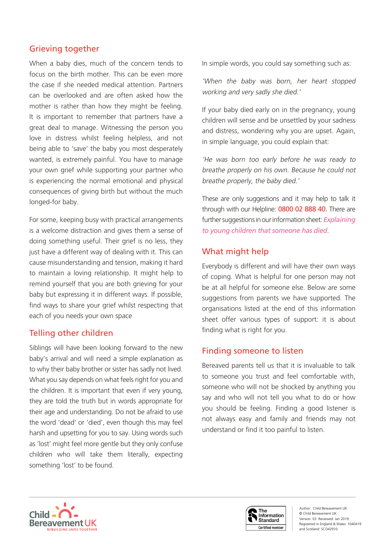# Grieving together

When a baby dies, much of the concern tends to focus on the birth mother. This can be even more the case if she needed medical attention. Partners can be overlooked and are often asked how the mother is rather than how they might be feeling. It is important to remember that partners have a great deal to manage. Witnessing the person you love in distress whilst feeling helpless, and not being able to 'save' the baby you most desperately wanted, is extremely painful. You have to manage your own grief while supporting your partner who is experiencing the normal emotional and physical consequences of giving birth but without the much longed-for baby.

For some, keeping busy with practical arrangements is a welcome distraction and gives them a sense of doing something useful. Their grief is no less, they just have a different way of dealing with it. This can cause misunderstanding and tension, making it hard to maintain a loving relationship. It might help to remind yourself that you are both grieving for your baby but expressing it in different ways. If possible, find ways to share your grief whilst respecting that each of you needs your own space

# Telling other children

Siblings will have been looking forward to the new baby's arrival and will need a simple explanation as to why their baby brother or sister has sadly not lived. What you say depends on what feels right for you and the children. It is important that even if very young, they are told the truth but in words appropriate for their age and understanding. Do not be afraid to use the word 'dead' or 'died', even though this may feel harsh and upsetting for you to say. Using words such as 'lost' might feel more gentle but they only confuse children who will take them literally, expecting something 'lost' to be found.

In simple words, you could say something such as:

'When the baby was born, her heart stopped working and very sadly she died.'

If your baby died early on in the pregnancy, young children will sense and be unsettled by your sadness and distress, wondering why you are upset. Again, in simple language, you could explain that:

'He was born too early before he was ready to breathe properly on his own. Because he could not breathe properly, the baby died.'

These are only suggestions and it may help to talk it through with our Helpline: 0800 02 888 40. There are further suggestions in our information sheet: *Explaining to young children that someone has died*.

# What might help

Everybody is different and will have their own ways of coping. What is helpful for one person may not be at all helpful for someone else. Below are some suggestions from parents we have supported. The organisations listed at the end of this information sheet offer various types of support: it is about finding what is right for you.

# Finding someone to listen

Bereaved parents tell us that it is invaluable to talk to someone you trust and feel comfortable with, someone who will not be shocked by anything you say and who will not tell you what to do or how you should be feeling. Finding a good listener is not always easy and family and friends may not understand or find it too painful to listen.



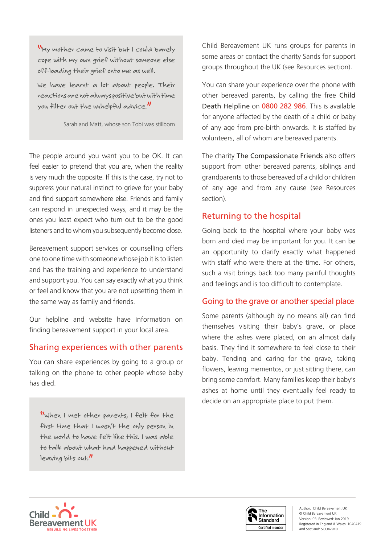"My mother came to visit but I could barely cope with my own grief without someone else off-loading their grief onto me as well.

We have learnt a lot about people. Their reactions are not always positive but with time you filter out the unhelpful advice."

Sarah and Matt, whose son Tobi was stillborn

The people around you want you to be OK. It can feel easier to pretend that you are, when the reality is very much the opposite. If this is the case, try not to suppress your natural instinct to grieve for your baby and find support somewhere else. Friends and family can respond in unexpected ways, and it may be the ones you least expect who turn out to be the good listeners and to whom you subsequently become close.

Bereavement support services or counselling offers one to one time with someone whose job it is to listen and has the training and experience to understand and support you. You can say exactly what you think or feel and know that you are not upsetting them in the same way as family and friends.

Our helpline and website have information on finding bereavement support in your local area.

# Sharing experiences with other parents

You can share experiences by going to a group or talking on the phone to other people whose baby has died.

"When I met other parents, I felt for the first time that I wasn't the only person in the world to have felt like this. I was able to talk about what had happened without leaving bits out."

Child Bereavement UK runs groups for parents in some areas or contact the charity Sands for support groups throughout the UK (see Resources section).

You can share your experience over the phone with other bereaved parents, by calling the free Child Death Helpline on 0800 282 986. This is available for anyone affected by the death of a child or baby of any age from pre-birth onwards. It is staffed by volunteers, all of whom are bereaved parents.

The charity The Compassionate Friends also offers support from other bereaved parents, siblings and grandparents to those bereaved of a child or children of any age and from any cause (see Resources section).

# Returning to the hospital

Going back to the hospital where your baby was born and died may be important for you. It can be an opportunity to clarify exactly what happened with staff who were there at the time. For others, such a visit brings back too many painful thoughts and feelings and is too difficult to contemplate.

# Going to the grave or another special place

Some parents (although by no means all) can find themselves visiting their baby's grave, or place where the ashes were placed, on an almost daily basis. They find it somewhere to feel close to their baby. Tending and caring for the grave, taking flowers, leaving mementos, or just sitting there, can bring some comfort. Many families keep their baby's ashes at home until they eventually feel ready to decide on an appropriate place to put them.



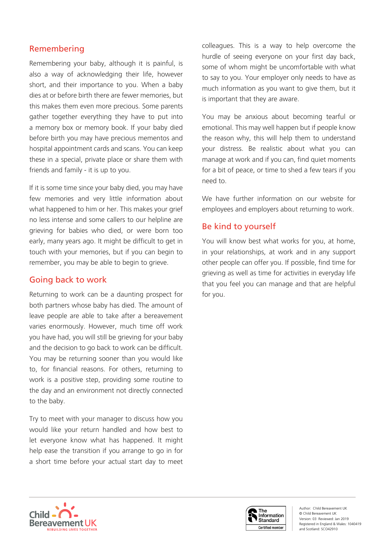# Remembering

Remembering your baby, although it is painful, is also a way of acknowledging their life, however short, and their importance to you. When a baby dies at or before birth there are fewer memories, but this makes them even more precious. Some parents gather together everything they have to put into a memory box or memory book. If your baby died before birth you may have precious mementos and hospital appointment cards and scans. You can keep these in a special, private place or share them with friends and family - it is up to you.

If it is some time since your baby died, you may have few memories and very little information about what happened to him or her. This makes your grief no less intense and some callers to our helpline are grieving for babies who died, or were born too early, many years ago. It might be difficult to get in touch with your memories, but if you can begin to remember, you may be able to begin to grieve.

## Going back to work

Returning to work can be a daunting prospect for both partners whose baby has died. The amount of leave people are able to take after a bereavement varies enormously. However, much time off work you have had, you will still be grieving for your baby and the decision to go back to work can be difficult. You may be returning sooner than you would like to, for financial reasons. For others, returning to work is a positive step, providing some routine to the day and an environment not directly connected to the baby.

Try to meet with your manager to discuss how you would like your return handled and how best to let everyone know what has happened. It might help ease the transition if you arrange to go in for a short time before your actual start day to meet

colleagues. This is a way to help overcome the hurdle of seeing everyone on your first day back, some of whom might be uncomfortable with what to say to you. Your employer only needs to have as much information as you want to give them, but it is important that they are aware.

You may be anxious about becoming tearful or emotional. This may well happen but if people know the reason why, this will help them to understand your distress. Be realistic about what you can manage at work and if you can, find quiet moments for a bit of peace, or time to shed a few tears if you need to.

We have further information on our website for employees and employers about returning to work.

# Be kind to yourself

You will know best what works for you, at home, in your relationships, at work and in any support other people can offer you. If possible, find time for grieving as well as time for activities in everyday life that you feel you can manage and that are helpful for you.